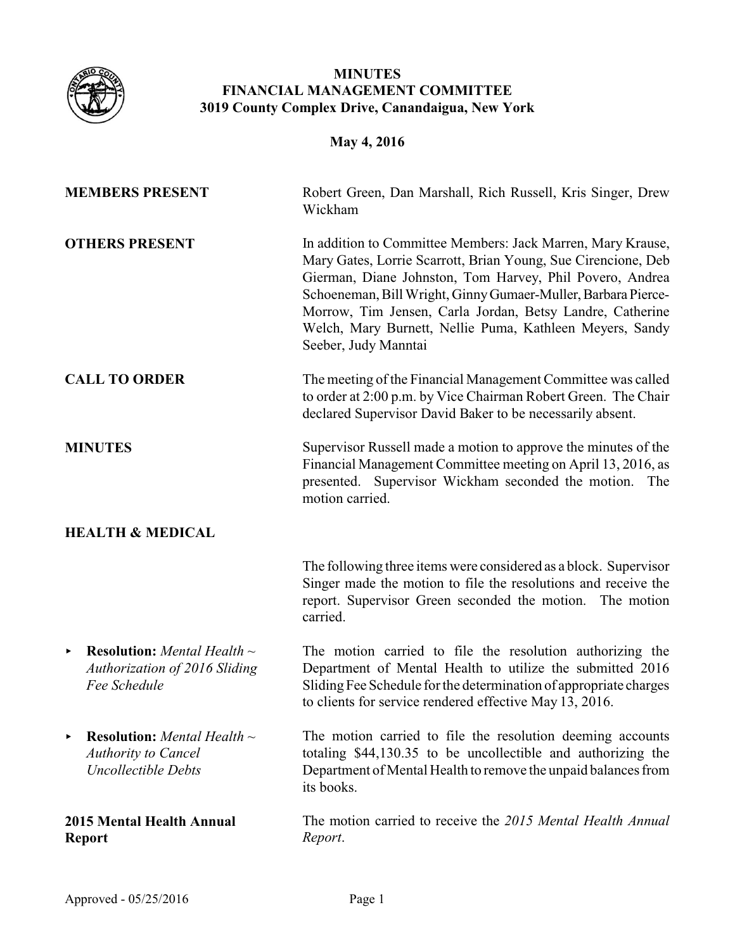

# **MINUTES FINANCIAL MANAGEMENT COMMITTEE 3019 County Complex Drive, Canandaigua, New York**

# **May 4, 2016**

| <b>MEMBERS PRESENT</b>                                                                                   | Robert Green, Dan Marshall, Rich Russell, Kris Singer, Drew<br>Wickham                                                                                                                                                                                                                                                                                                                                     |
|----------------------------------------------------------------------------------------------------------|------------------------------------------------------------------------------------------------------------------------------------------------------------------------------------------------------------------------------------------------------------------------------------------------------------------------------------------------------------------------------------------------------------|
| <b>OTHERS PRESENT</b>                                                                                    | In addition to Committee Members: Jack Marren, Mary Krause,<br>Mary Gates, Lorrie Scarrott, Brian Young, Sue Cirencione, Deb<br>Gierman, Diane Johnston, Tom Harvey, Phil Povero, Andrea<br>Schoeneman, Bill Wright, Ginny Gumaer-Muller, Barbara Pierce-<br>Morrow, Tim Jensen, Carla Jordan, Betsy Landre, Catherine<br>Welch, Mary Burnett, Nellie Puma, Kathleen Meyers, Sandy<br>Seeber, Judy Manntai |
| <b>CALL TO ORDER</b>                                                                                     | The meeting of the Financial Management Committee was called<br>to order at 2:00 p.m. by Vice Chairman Robert Green. The Chair<br>declared Supervisor David Baker to be necessarily absent.                                                                                                                                                                                                                |
| <b>MINUTES</b>                                                                                           | Supervisor Russell made a motion to approve the minutes of the<br>Financial Management Committee meeting on April 13, 2016, as<br>presented. Supervisor Wickham seconded the motion.<br>The<br>motion carried.                                                                                                                                                                                             |
| <b>HEALTH &amp; MEDICAL</b>                                                                              |                                                                                                                                                                                                                                                                                                                                                                                                            |
|                                                                                                          | The following three items were considered as a block. Supervisor<br>Singer made the motion to file the resolutions and receive the<br>report. Supervisor Green seconded the motion. The motion<br>carried.                                                                                                                                                                                                 |
| <b>Resolution:</b> Mental Health $\sim$<br>Þ.<br><b>Authorization of 2016 Sliding</b><br>Fee Schedule    | The motion carried to file the resolution authorizing the<br>Department of Mental Health to utilize the submitted 2016<br>Sliding Fee Schedule for the determination of appropriate charges<br>to clients for service rendered effective May 13, 2016.                                                                                                                                                     |
| <b>Resolution:</b> Mental Health $\sim$<br>▶<br><b>Authority to Cancel</b><br><b>Uncollectible Debts</b> | The motion carried to file the resolution deeming accounts<br>totaling \$44,130.35 to be uncollectible and authorizing the<br>Department of Mental Health to remove the unpaid balances from<br>its books.                                                                                                                                                                                                 |
| <b>2015 Mental Health Annual</b><br><b>Report</b>                                                        | The motion carried to receive the 2015 Mental Health Annual<br>Report.                                                                                                                                                                                                                                                                                                                                     |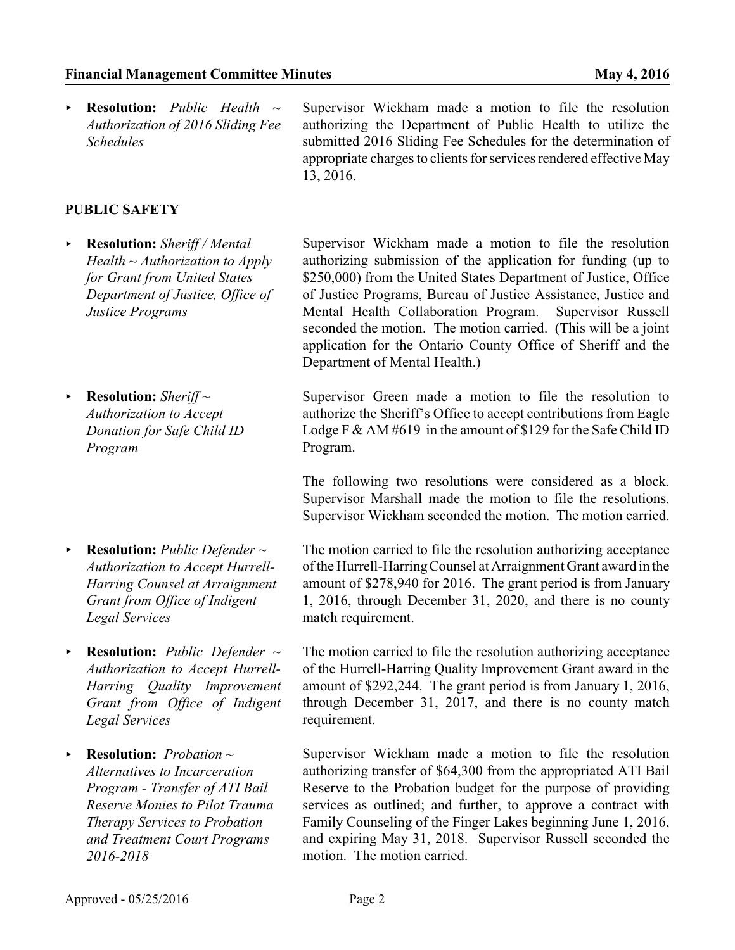< **Resolution:** *Public Health ~ Authorization of 2016 Sliding Fee Schedules*

Supervisor Wickham made a motion to file the resolution authorizing the Department of Public Health to utilize the submitted 2016 Sliding Fee Schedules for the determination of appropriate charges to clients for services rendered effective May 13, 2016.

## **PUBLIC SAFETY**

- < **Resolution:** *Sheriff / Mental Health ~ Authorization to Apply for Grant from United States Department of Justice, Office of Justice Programs*
- ▶ **Resolution:** *Sheriff* ~ *Authorization to Accept Donation for Safe Child ID Program*
- < **Resolution:** *Public Defender ~ Authorization to Accept Hurrell-Harring Counsel at Arraignment Grant from Office of Indigent Legal Services*
- < **Resolution:** *Public Defender ~ Authorization to Accept Hurrell-Harring Quality Improvement Grant from Office of Indigent Legal Services*
- < **Resolution:** *Probation ~ Alternatives to Incarceration Program - Transfer of ATI Bail Reserve Monies to Pilot Trauma Therapy Services to Probation and Treatment Court Programs 2016-2018*

Supervisor Wickham made a motion to file the resolution authorizing submission of the application for funding (up to \$250,000) from the United States Department of Justice, Office of Justice Programs, Bureau of Justice Assistance, Justice and Mental Health Collaboration Program. Supervisor Russell seconded the motion. The motion carried. (This will be a joint application for the Ontario County Office of Sheriff and the Department of Mental Health.)

Supervisor Green made a motion to file the resolution to authorize the Sheriff's Office to accept contributions from Eagle Lodge F & AM #619 in the amount of \$129 for the Safe Child ID Program.

The following two resolutions were considered as a block. Supervisor Marshall made the motion to file the resolutions. Supervisor Wickham seconded the motion. The motion carried.

The motion carried to file the resolution authorizing acceptance of the Hurrell-HarringCounsel at Arraignment Grant award in the amount of \$278,940 for 2016. The grant period is from January 1, 2016, through December 31, 2020, and there is no county match requirement.

The motion carried to file the resolution authorizing acceptance of the Hurrell-Harring Quality Improvement Grant award in the amount of \$292,244. The grant period is from January 1, 2016, through December 31, 2017, and there is no county match requirement.

Supervisor Wickham made a motion to file the resolution authorizing transfer of \$64,300 from the appropriated ATI Bail Reserve to the Probation budget for the purpose of providing services as outlined; and further, to approve a contract with Family Counseling of the Finger Lakes beginning June 1, 2016, and expiring May 31, 2018. Supervisor Russell seconded the motion. The motion carried.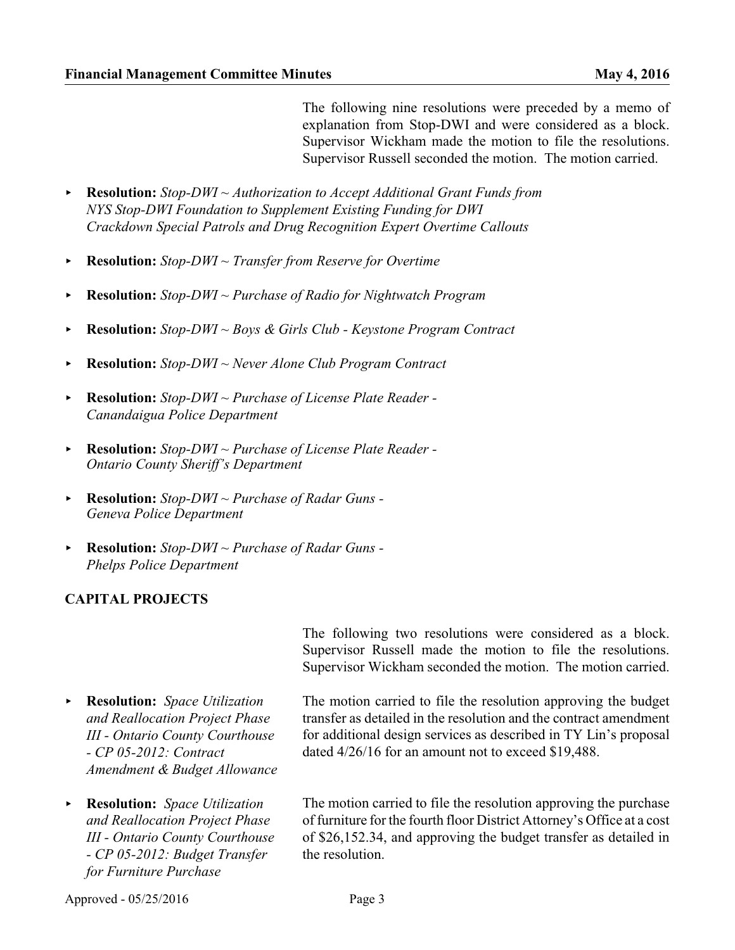The following nine resolutions were preceded by a memo of explanation from Stop-DWI and were considered as a block. Supervisor Wickham made the motion to file the resolutions. Supervisor Russell seconded the motion. The motion carried.

- < **Resolution:** *Stop-DWI ~ Authorization to Accept Additional Grant Funds from NYS Stop-DWI Foundation to Supplement Existing Funding for DWI Crackdown Special Patrols and Drug Recognition Expert Overtime Callouts*
- < **Resolution:** *Stop-DWI ~ Transfer from Reserve for Overtime*
- < **Resolution:** *Stop-DWI ~ Purchase of Radio for Nightwatch Program*
- < **Resolution:** *Stop-DWI ~ Boys & Girls Club Keystone Program Contract*
- < **Resolution:** *Stop-DWI ~ Never Alone Club Program Contract*
- < **Resolution:** *Stop-DWI ~ Purchase of License Plate Reader - Canandaigua Police Department*
- < **Resolution:** *Stop-DWI ~ Purchase of License Plate Reader Ontario County Sheriff's Department*
- < **Resolution:** *Stop-DWI ~ Purchase of Radar Guns Geneva Police Department*
- < **Resolution:** *Stop-DWI ~ Purchase of Radar Guns Phelps Police Department*

#### **CAPITAL PROJECTS**

< **Resolution:** *Space Utilization and Reallocation Project Phase III - Ontario County Courthouse - CP 05-2012: Contract Amendment & Budget Allowance*

< **Resolution:** *Space Utilization and Reallocation Project Phase III - Ontario County Courthouse - CP 05-2012: Budget Transfer for Furniture Purchase*

The following two resolutions were considered as a block. Supervisor Russell made the motion to file the resolutions. Supervisor Wickham seconded the motion. The motion carried.

The motion carried to file the resolution approving the budget transfer as detailed in the resolution and the contract amendment for additional design services as described in TY Lin's proposal dated 4/26/16 for an amount not to exceed \$19,488.

The motion carried to file the resolution approving the purchase of furniture for the fourth floor District Attorney's Office at a cost of \$26,152.34, and approving the budget transfer as detailed in the resolution.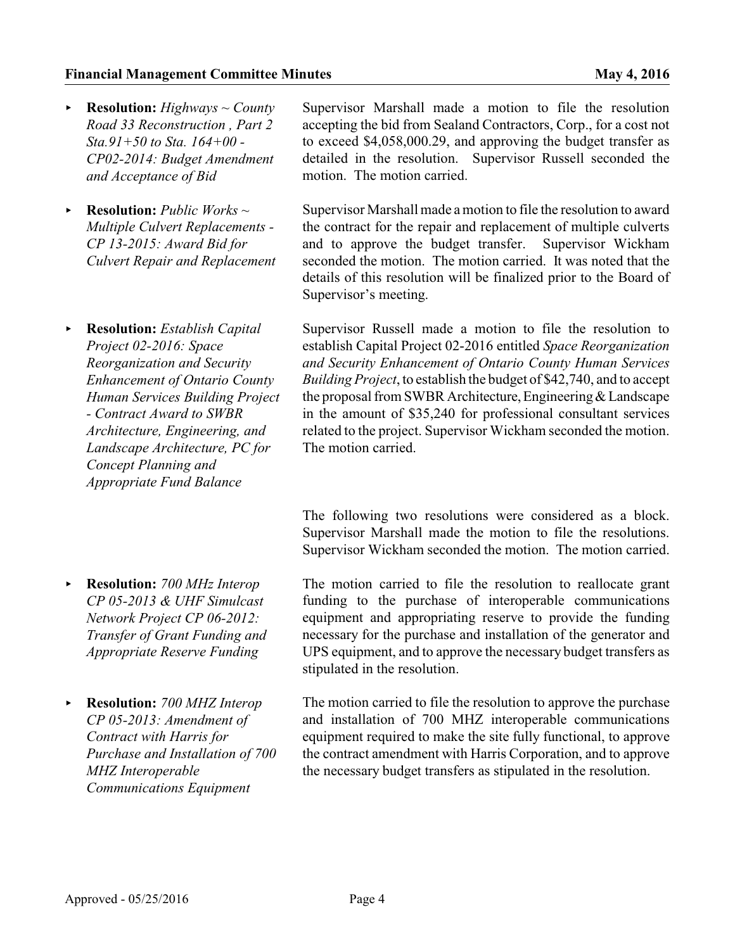#### **Financial Management Committee Minutes May 4, 2016** May 4, 2016

- < **Resolution:** *Highways ~ County Road 33 Reconstruction , Part 2 Sta.91+50 to Sta. 164+00 - CP02-2014: Budget Amendment and Acceptance of Bid*
- < **Resolution:** *Public Works ~ Multiple Culvert Replacements - CP 13-2015: Award Bid for Culvert Repair and Replacement*
- < **Resolution:** *Establish Capital Project 02-2016: Space Reorganization and Security Enhancement of Ontario County Human Services Building Project - Contract Award to SWBR Architecture, Engineering, and Landscape Architecture, PC for Concept Planning and Appropriate Fund Balance*
- < **Resolution:** *700 MHz Interop CP 05-2013 & UHF Simulcast Network Project CP 06-2012: Transfer of Grant Funding and Appropriate Reserve Funding*
- < **Resolution:** *700 MHZ Interop CP 05-2013: Amendment of Contract with Harris for Purchase and Installation of 700 MHZ Interoperable Communications Equipment*

Supervisor Marshall made a motion to file the resolution accepting the bid from Sealand Contractors, Corp., for a cost not to exceed \$4,058,000.29, and approving the budget transfer as detailed in the resolution. Supervisor Russell seconded the motion. The motion carried.

Supervisor Marshall made amotion to file the resolution to award the contract for the repair and replacement of multiple culverts and to approve the budget transfer. Supervisor Wickham seconded the motion. The motion carried. It was noted that the details of this resolution will be finalized prior to the Board of Supervisor's meeting.

Supervisor Russell made a motion to file the resolution to establish Capital Project 02-2016 entitled *Space Reorganization and Security Enhancement of Ontario County Human Services Building Project*, to establish the budget of \$42,740, and to accept the proposal from SWBR Architecture, Engineering & Landscape in the amount of \$35,240 for professional consultant services related to the project. Supervisor Wickham seconded the motion. The motion carried.

The following two resolutions were considered as a block. Supervisor Marshall made the motion to file the resolutions. Supervisor Wickham seconded the motion. The motion carried.

The motion carried to file the resolution to reallocate grant funding to the purchase of interoperable communications equipment and appropriating reserve to provide the funding necessary for the purchase and installation of the generator and UPS equipment, and to approve the necessary budget transfers as stipulated in the resolution.

The motion carried to file the resolution to approve the purchase and installation of 700 MHZ interoperable communications equipment required to make the site fully functional, to approve the contract amendment with Harris Corporation, and to approve the necessary budget transfers as stipulated in the resolution.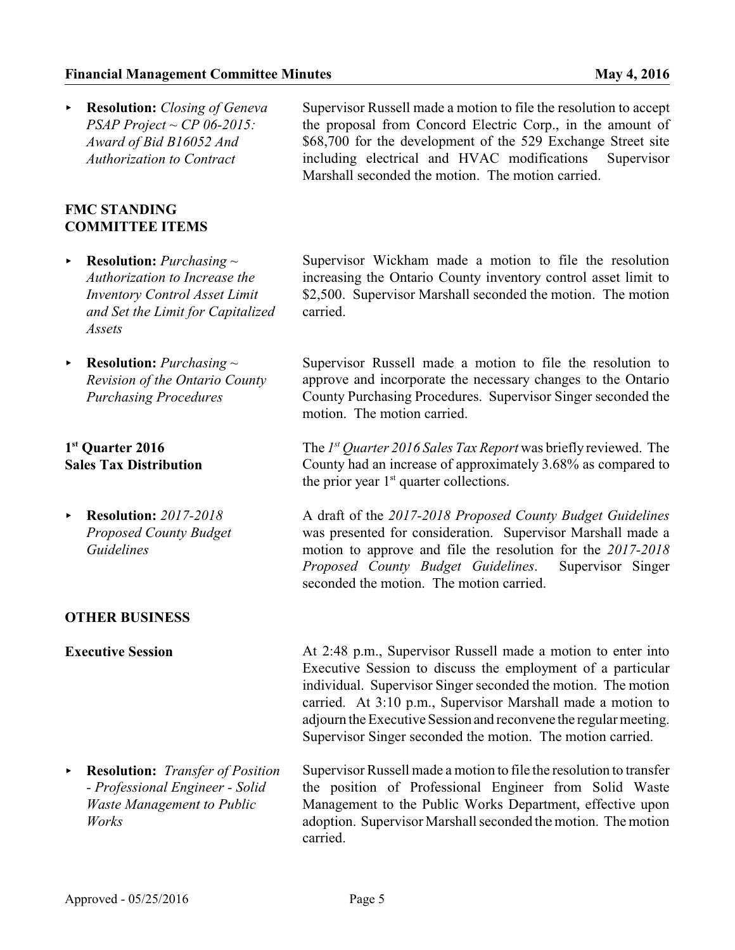< **Resolution:** *Closing of Geneva PSAP Project ~ CP 06-2015: Award of Bid B16052 And Authorization to Contract*

### **FMC STANDING COMMITTEE ITEMS**

- < **Resolution:** *Purchasing ~ Authorization to Increase the Inventory Control Asset Limit and Set the Limit for Capitalized Assets*
- < **Resolution:** *Purchasing ~ Revision of the Ontario County Purchasing Procedures*

### **1 st Quarter 2016 Sales Tax Distribution**

< **Resolution:** *2017-2018 Proposed County Budget Guidelines*

### **OTHER BUSINESS**

**Executive Session** At 2:48 p.m., Supervisor Russell made a motion to enter into Executive Session to discuss the employment of a particular individual. Supervisor Singer seconded the motion. The motion carried. At 3:10 p.m., Supervisor Marshall made a motion to adjourn the Executive Session and reconvene the regular meeting. Supervisor Singer seconded the motion. The motion carried.

< **Resolution:** *Transfer of Position - Professional Engineer - Solid Waste Management to Public Works* Supervisor Russell made a motion to file the resolution to transfer the position of Professional Engineer from Solid Waste Management to the Public Works Department, effective upon adoption. Supervisor Marshall seconded the motion. The motion carried.

Supervisor Russell made a motion to file the resolution to accept the proposal from Concord Electric Corp., in the amount of \$68,700 for the development of the 529 Exchange Street site including electrical and HVAC modifications Supervisor Marshall seconded the motion. The motion carried.

Supervisor Wickham made a motion to file the resolution increasing the Ontario County inventory control asset limit to \$2,500. Supervisor Marshall seconded the motion. The motion carried.

Supervisor Russell made a motion to file the resolution to approve and incorporate the necessary changes to the Ontario County Purchasing Procedures. Supervisor Singer seconded the motion. The motion carried.

The *1 st Quarter 2016 Sales Tax Report* was briefly reviewed. The County had an increase of approximately 3.68% as compared to the prior year  $1<sup>st</sup>$  quarter collections.

A draft of the *2017-2018 Proposed County Budget Guidelines* was presented for consideration. Supervisor Marshall made a motion to approve and file the resolution for the *2017-2018 Proposed County Budget Guidelines*. Supervisor Singer seconded the motion. The motion carried.